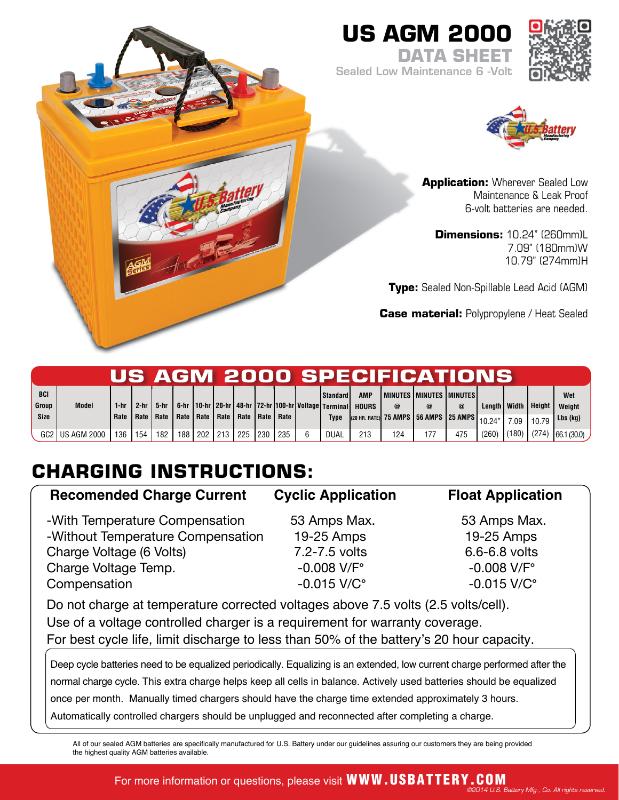## **US AGM 2000**



**DATA SHEET** Sealed Low Maintenance 6 -Volt



**Application:** Wherever Sealed Low Maintenance & Leak Proof 6-volt batteries are needed.

**Dimensions:** 10.24" (260mm)L 7.09" (180mm)W 10.79" (274mm)H

**Type:** Sealed Non-Spillable Lead Acid (AGM)

**Case material:** Polypropylene / Heat Sealed

|               |                 |              |        |                                   |     |     |         |                           |     |     |                                                                                     |              |          | US AGM 2000 SPECIFICATIONS                                 |            |                |                 |               |                    |
|---------------|-----------------|--------------|--------|-----------------------------------|-----|-----|---------|---------------------------|-----|-----|-------------------------------------------------------------------------------------|--------------|----------|------------------------------------------------------------|------------|----------------|-----------------|---------------|--------------------|
| <b>BCI</b>    |                 |              |        |                                   |     |     |         |                           |     |     | <b>Standard</b>                                                                     | <b>AMP</b>   |          | I MINUTES I MINUTES I MINUTES I                            |            |                |                 |               | Wet                |
| Group<br>Size | <b>Model</b>    | 1-hr<br>Rate | $2-hr$ | 5-hr<br>Rate   Rate   Rate   Rate |     |     |         | Rate   Rate   Rate   Rate |     |     | 6-hr   10-hr   20-hr   48-hr   72-hr   100-hr   Voltage   Terminal  <br><b>Type</b> | <b>HOURS</b> | $\omega$ | $(20 \text{ HR. RATE})$ 75 AMPS 56 AMPS 25 AMPS $ 10.24$ " | $^{\circ}$ | Length   Width | 7.09            | <b>Height</b> | Weight<br>Lbs (kg) |
|               | GC2 US AGM 2000 | 136          | 154    | 182                               | 188 | 202 | 213 225 |                           | 230 | 235 | DUAL                                                                                | 213          | 124      | 177                                                        | 475        | (260)          | $(180)$ $(274)$ |               | 66.1 (30.0)        |

# **CHARGING INSTRUCTIONS:**

## **Recomended Charge Current Cyclic Application Float Application** -With Temperature Compensation 53 Amps Max. 53 Amps Max. -Without Temperature Compensation 19-25 Amps 19-25 Amps Charge Voltage (6 Volts) **7.2-7.5** volts 6.6-6.8 volts

Charge Voltage Temp.<br>Compensation **-0.008 V/F<sup>°</sup> -0.008 V/F<sup>°</sup> -0.015 V/C<sup>°</sup> -0.015 V/C<sup>°</sup>** Compensation  $-0.015$  V/C°  $-0.015$  V/C°

Do not charge at temperature corrected voltages above 7.5 volts (2.5 volts/cell). Use of a voltage controlled charger is a requirement for warranty coverage. For best cycle life, limit discharge to less than 50% of the battery's 20 hour capacity.

Deep cycle batteries need to be equalized periodically. Equalizing is an extended, low current charge performed after the normal charge cycle. This extra charge helps keep all cells in balance. Actively used batteries should be equalized once per month. Manually timed chargers should have the charge time extended approximately 3 hours. Automatically controlled chargers should be unplugged and reconnected after completing a charge.

All of our sealed AGM batteries are specifically manufactured for U.S. Battery under our guidelines assuring our customers they are being provided the highest quality AGM batteries available.